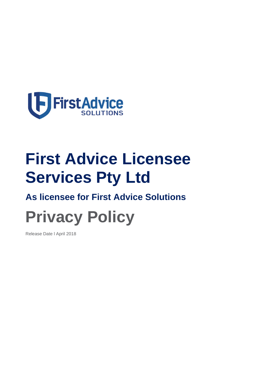

# **First Advice Licensee Services Pty Ltd**

# **As licensee for First Advice Solutions**

# **Privacy Policy**

Release Date l April 2018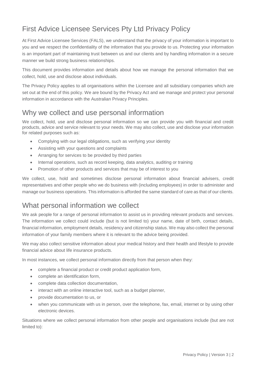# First Advice Licensee Services Pty Ltd Privacy Policy

At First Advice Licensee Services (FALS), we understand that the privacy of your information is important to you and we respect the confidentiality of the information that you provide to us. Protecting your information is an important part of maintaining trust between us and our clients and by handling information in a secure manner we build strong business relationships.

This document provides information and details about how we manage the personal information that we collect, hold, use and disclose about individuals.

The Privacy Policy applies to all organisations within the Licensee and all subsidiary companies which are set out at the end of this policy. We are bound by the Privacy Act and we manage and protect your personal information in accordance with the Australian Privacy Principles.

#### Why we collect and use personal information

We collect, hold, use and disclose personal information so we can provide you with financial and credit products, advice and service relevant to your needs. We may also collect, use and disclose your information for related purposes such as:

- Complying with our legal obligations, such as verifying your identity
- Assisting with your questions and complaints
- Arranging for services to be provided by third parties
- Internal operations, such as record keeping, data analytics, auditing or training
- Promotion of other products and services that may be of interest to you

We collect, use, hold and sometimes disclose personal information about financial advisers, credit representatives and other people who we do business with (including employees) in order to administer and manage our business operations. This information is afforded the same standard of care as that of our clients.

#### What personal information we collect

We ask people for a range of personal information to assist us in providing relevant products and services. The information we collect could include (but is not limited to) your name, date of birth, contact details, financial information, employment details, residency and citizenship status. We may also collect the personal information of your family members where it is relevant to the advice being provided.

We may also collect sensitive information about your medical history and their health and lifestyle to provide financial advice about life insurance products.

In most instances, we collect personal information directly from that person when they:

- complete a financial product or credit product application form,
- complete an identification form,
- complete data collection documentation,
- interact with an online interactive tool, such as a budget planner,
- provide documentation to us, or
- when you communicate with us in person, over the telephone, fax, email, internet or by using other electronic devices.

Situations where we collect personal information from other people and organisations include (but are not limited to):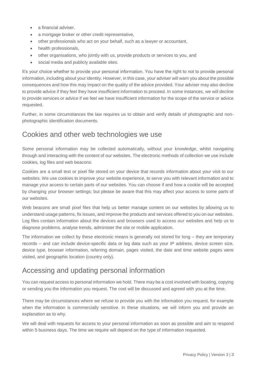- a financial adviser.
- a mortgage broker or other credit representative,
- other professionals who act on your behalf, such as a lawyer or accountant,
- health professionals,
- other organisations, who jointly with us, provide products or services to you, and
- social media and publicly available sites.

It's your choice whether to provide your personal information. You have the right to not to provide personal information, including about your identity. However, in this case, your adviser will warn you about the possible consequences and how this may impact on the quality of the advice provided. Your adviser may also decline to provide advice if they feel they have insufficient information to proceed. In some instances, we will decline to provide services or advice if we feel we have insufficient information for the scope of the service or advice requested.

Further, in some circumstances the law requires us to obtain and verify details of photographic and nonphotographic identification documents.

#### Cookies and other web technologies we use

Some personal information may be collected automatically, without your knowledge, whilst navigating through and interacting with the content of our websites. The electronic methods of collection we use include cookies, log files and web beacons.

Cookies are a small text or pixel file stored on your device that records information about your visit to our websites. We use cookies to improve your website experience, to serve you with relevant information and to manage your access to certain parts of our websites. You can choose if and how a cookie will be accepted by changing your browser settings; but please be aware that this may affect your access to some parts of our websites.

Web beacons are small pixel files that help us better manage content on our websites by allowing us to understand usage patterns, fix issues, and improve the products and services offered to you on our websites. Log files contain information about the devices and browsers used to access our websites and help us to diagnose problems, analyse trends, administer the site or mobile application.

The information we collect by these electronic means is generally not stored for long – they are temporary records – and can include device-specific data or log data such as your IP address, device screen size, device type, browser information, referring domain, pages visited, the date and time website pages were visited, and geographic location (country only).

#### Accessing and updating personal information

You can request access to personal information we hold. There may be a cost involved with locating, copying or sending you the information you request. The cost will be discussed and agreed with you at the time.

There may be circumstances where we refuse to provide you with the information you request, for example when the information is commercially sensitive. In these situations, we will inform you and provide an explanation as to why.

We will deal with requests for access to your personal information as soon as possible and aim to respond within 5 business days. The time we require will depend on the type of information requested.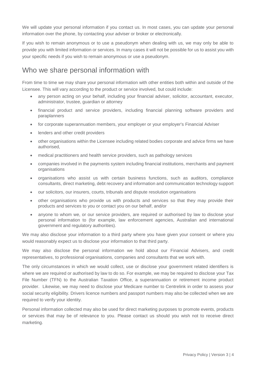We will update your personal information if you contact us. In most cases, you can update your personal information over the phone, by contacting your adviser or broker or electronically.

If you wish to remain anonymous or to use a pseudonym when dealing with us, we may only be able to provide you with limited information or services. In many cases it will not be possible for us to assist you with your specific needs if you wish to remain anonymous or use a pseudonym.

#### Who we share personal information with

From time to time we may share your personal information with other entities both within and outside of the Licensee. This will vary according to the product or service involved, but could include:

- any person acting on your behalf, including your financial adviser, solicitor, accountant, executor, administrator, trustee, guardian or attorney
- financial product and service providers, including financial planning software providers and paraplanners
- for corporate superannuation members, your employer or your employer's Financial Adviser
- lenders and other credit providers
- other organisations within the Licensee including related bodies corporate and advice firms we have authorised,
- medical practitioners and health service providers, such as pathology services
- companies involved in the payments system including financial institutions, merchants and payment organisations
- organisations who assist us with certain business functions, such as auditors, compliance consultants, direct marketing, debt recovery and information and communication technology support
- our solicitors, our insurers, courts, tribunals and dispute resolution organisations
- other organisations who provide us with products and services so that they may provide their products and services to you or contact you on our behalf, and/or
- anyone to whom we, or our service providers, are required or authorised by law to disclose your personal information to (for example, law enforcement agencies, Australian and international government and regulatory authorities).

We may also disclose your information to a third party where you have given your consent or where you would reasonably expect us to disclose your information to that third party.

We may also disclose the personal information we hold about our Financial Advisers, and credit representatives, to professional organisations, companies and consultants that we work with.

The only circumstances in which we would collect, use or disclose your government related identifiers is where we are required or authorised by law to do so. For example, we may be required to disclose your Tax File Number (TFN) to the Australian Taxation Office, a superannuation or retirement income product provider. Likewise, we may need to disclose your Medicare number to Centrelink in order to assess your social security eligibility. Drivers licence numbers and passport numbers may also be collected when we are required to verify your identity.

Personal information collected may also be used for direct marketing purposes to promote events, products or services that may be of relevance to you. Please contact us should you wish not to receive direct marketing.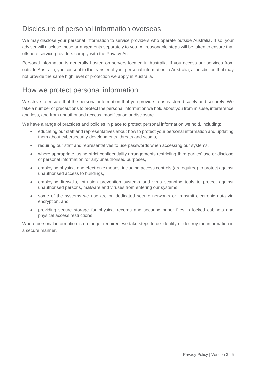## Disclosure of personal information overseas

We may disclose your personal information to service providers who operate outside Australia. If so, your adviser will disclose these arrangements separately to you. All reasonable steps will be taken to ensure that offshore service providers comply with the Privacy Act

Personal information is generally hosted on servers located in Australia. If you access our services from outside Australia, you consent to the transfer of your personal information to Australia, a jurisdiction that may not provide the same high level of protection we apply in Australia.

#### How we protect personal information

We strive to ensure that the personal information that you provide to us is stored safely and securely. We take a number of precautions to protect the personal information we hold about you from misuse, interference and loss, and from unauthorised access, modification or disclosure.

We have a range of practices and policies in place to protect personal information we hold, including:

- educating our staff and representatives about how to protect your personal information and updating them about cybersecurity developments, threats and scams,
- requiring our staff and representatives to use passwords when accessing our systems,
- where appropriate, using strict confidentiality arrangements restricting third parties' use or disclose of personal information for any unauthorised purposes,
- employing physical and electronic means, including access controls (as required) to protect against unauthorised access to buildings,
- employing firewalls, intrusion prevention systems and virus scanning tools to protect against unauthorised persons, malware and viruses from entering our systems,
- some of the systems we use are on dedicated secure networks or transmit electronic data via encryption, and
- providing secure storage for physical records and securing paper files in locked cabinets and physical access restrictions.

Where personal information is no longer required, we take steps to de-identify or destroy the information in a secure manner.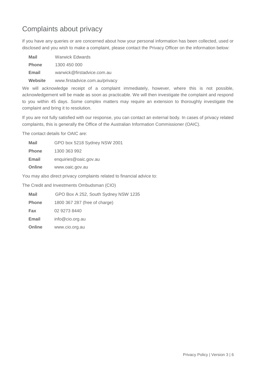## Complaints about privacy

If you have any queries or are concerned about how your personal information has been collected, used or disclosed and you wish to make a complaint, please contact the Privacy Officer on the information below:

| <b>Mail</b>  | <b>Warwick Edwards</b>         |
|--------------|--------------------------------|
| <b>Phone</b> | 1300 450 000                   |
| Email        | warwick@firstadvice.com.au     |
| Website      | www.firstadvice.com.au/privacy |

We will acknowledge receipt of a complaint immediately, however, where this is not possible, acknowledgement will be made as soon as practicable. We will then investigate the complaint and respond to you within 45 days. Some complex matters may require an extension to thoroughly investigate the complaint and bring it to resolution.

If you are not fully satisfied with our response, you can contact an external body. In cases of privacy related complaints, this is generally the Office of the Australian Information Commissioner (OAIC).

The contact details for OAIC are:

| <b>Mail</b>  | GPO box 5218 Sydney NSW 2001 |
|--------------|------------------------------|
| <b>Phone</b> | 1300 363 992                 |
| Email        | enquiries@oaic.gov.au        |
| Online       | www.oaic.gov.au              |

You may also direct privacy complaints related to financial advice to:

The Credit and Investments Ombudsman (CIO)

| <b>Mail</b>  | GPO Box A 252, South Sydney NSW 1235 |
|--------------|--------------------------------------|
| <b>Phone</b> | 1800 367 287 (free of charge)        |

**Fax** 02 9273 8440

**Email** info@cio.org.au

**Online** www.cio.org.au